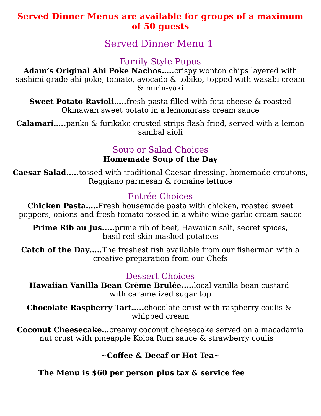# **Served Dinner Menus are available for groups of a maximum of 50 guests**

Served Dinner Menu 1

Family Style Pupus

**Adam's Original Ahi Poke Nachos…..**crispy wonton chips layered with sashimi grade ahi poke, tomato, avocado & tobiko, topped with wasabi cream & mirin-yaki

**Sweet Potato Ravioli.....** fresh pasta filled with feta cheese & roasted Okinawan sweet potato in a lemongrass cream sauce

**Calamari…..**panko & furikake crusted strips flash fried, served with a lemon sambal aioli

# Soup or Salad Choices

### **Homemade Soup of the Day**

**Caesar Salad.....**tossed with traditional Caesar dressing, homemade croutons, Reggiano parmesan & romaine lettuce

## Entrée Choices

**Chicken Pasta…..**Fresh housemade pasta with chicken, roasted sweet peppers, onions and fresh tomato tossed in a white wine garlic cream sauce

**Prime Rib au Jus.....** prime rib of beef, Hawaiian salt, secret spices, basil red skin mashed potatoes

**Catch of the Day.....**The freshest fish available from our fisherman with a creative preparation from our Chefs

### Dessert Choices

**Hawaiian Vanilla Bean Crème Brulée..…**local vanilla bean custard with caramelized sugar top

**Chocolate Raspberry Tart…..**chocolate crust with raspberry coulis & whipped cream

**Coconut Cheesecake…**creamy coconut cheesecake served on a macadamia nut crust with pineapple Koloa Rum sauce & strawberry coulis

### **~Coffee & Decaf or Hot Tea~**

**The Menu is \$60 per person plus tax & service fee**